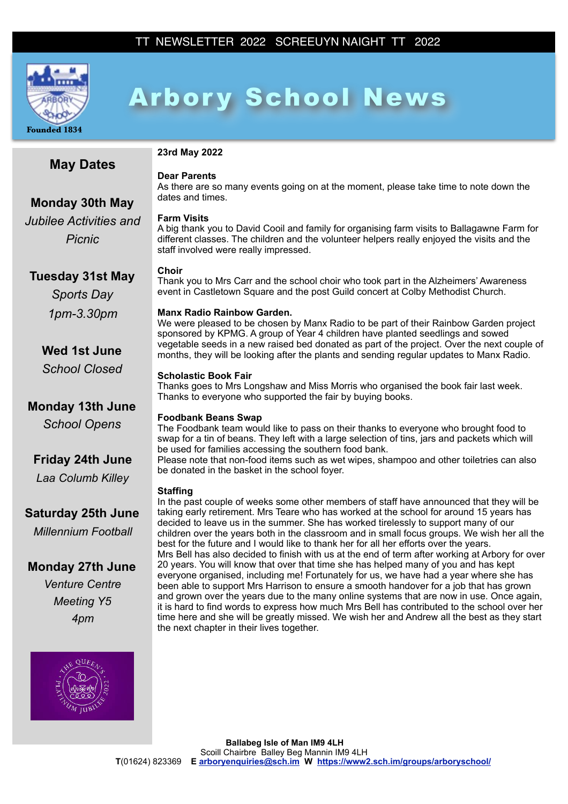

# Arbory School News

# **May Dates**

**Monday 30th May**  *Jubilee Activities and Picnic* 

# **Dear Parents**

As there are so many events going on at the moment, please take time to note down the dates and times.

# **Farm Visits**

A big thank you to David Cooil and family for organising farm visits to Ballagawne Farm for different classes. The children and the volunteer helpers really enjoyed the visits and the staff involved were really impressed.

# **Tuesday 31st May**

*Sports Day 1pm-3.30pm* 

**Wed 1st June** 

*School Closed* 

# **Monday 13th June**  *School Opens*

# **Friday 24th June**

*Laa Columb Killey* 

# **Saturday 25th June**

*Millennium Football* 

# **Monday 27th June**

*Venture Centre Meeting Y5 4pm* 



**23rd May 2022** 

# **Choir**

Thank you to Mrs Carr and the school choir who took part in the Alzheimers' Awareness event in Castletown Square and the post Guild concert at Colby Methodist Church.

# **Manx Radio Rainbow Garden.**

We were pleased to be chosen by Manx Radio to be part of their Rainbow Garden project sponsored by KPMG. A group of Year 4 children have planted seedlings and sowed vegetable seeds in a new raised bed donated as part of the project. Over the next couple of months, they will be looking after the plants and sending regular updates to Manx Radio.

# **Scholastic Book Fair**

Thanks goes to Mrs Longshaw and Miss Morris who organised the book fair last week. Thanks to everyone who supported the fair by buying books.

# **Foodbank Beans Swap**

The Foodbank team would like to pass on their thanks to everyone who brought food to swap for a tin of beans. They left with a large selection of tins, jars and packets which will be used for families accessing the southern food bank.

Please note that non-food items such as wet wipes, shampoo and other toiletries can also be donated in the basket in the school foyer.

# **Staffing**

In the past couple of weeks some other members of staff have announced that they will be taking early retirement. Mrs Teare who has worked at the school for around 15 years has decided to leave us in the summer. She has worked tirelessly to support many of our children over the years both in the classroom and in small focus groups. We wish her all the best for the future and I would like to thank her for all her efforts over the years. Mrs Bell has also decided to finish with us at the end of term after working at Arbory for over 20 years. You will know that over that time she has helped many of you and has kept everyone organised, including me! Fortunately for us, we have had a year where she has been able to support Mrs Harrison to ensure a smooth handover for a job that has grown and grown over the years due to the many online systems that are now in use. Once again, it is hard to find words to express how much Mrs Bell has contributed to the school over her time here and she will be greatly missed. We wish her and Andrew all the best as they start the next chapter in their lives together.